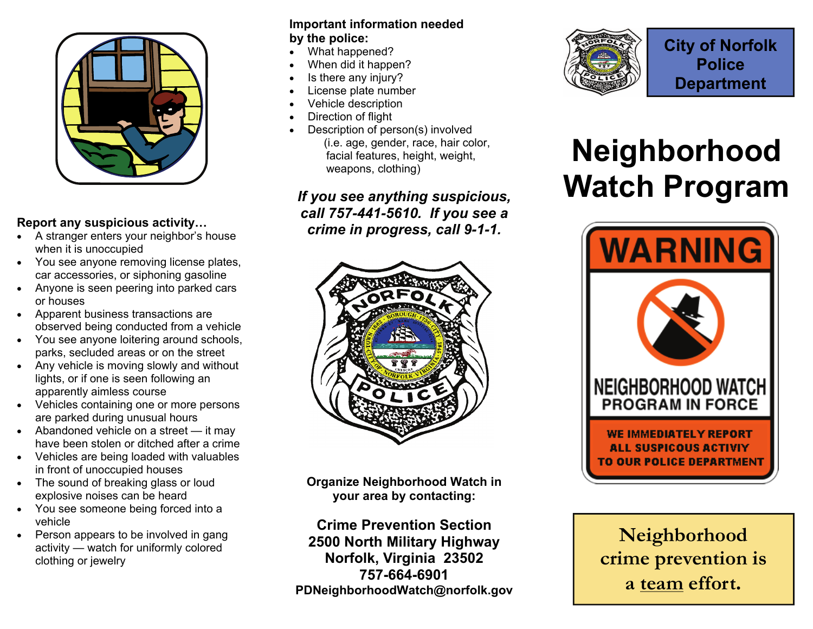

# **Report any suspicious activity…**

- $\bullet$  A stranger enters your neighbor's house when it is unoccupied
- $\bullet$  You see anyone removing license plates, car accessories, or siphoning gasoline
- $\bullet$  Anyone is seen peering into parked cars or houses
- Apparent business transactions are observed being conducted from a vehicle
- You see anyone loitering around schools, parks, secluded areas or on the street
- $\bullet$  Any vehicle is moving slowly and without lights, or if one is seen following an apparently aimless course
- $\bullet$  Vehicles containing one or more persons are parked during unusual hours
- Abandoned vehicle on a street it may have been stolen or ditched after a crime
- Vehicles are being loaded with valuables in front of unoccupied houses
- $\bullet$  The sound of breaking glass or loud explosive noises can be heard
- You see someone being forced into a vehicle
- $\bullet$  Person appears to be involved in gang activity — watch for uniformly colored clothing or jewelry

#### **Important information needed by the police:**

- $\bullet$ What happened?
- $\bullet$ When did it happen?
- $\bullet$ Is there any injury?
- $\bullet$ License plate number
- $\bullet$ Vehicle description
- $\bullet$ Direction of flight
- $\bullet$  Description of person(s) involved (i.e. age, gender, race, hair color, facial features, height, weight, weapons, clothing)

*If you see anything suspicious, call 757-441-5610. If you see a crime in progress, call 9-1-1.* 



**Organize Neighborhood Watch in your area by contacting:** 

**Crime Prevention Section 2500 North Military Highway Norfolk, Virginia 23502 757-664-6901 PDNeighborhoodWatch@norfolk.gov** 



# **Neighborhood Watch Program**



**Neighborhood crime prevention is a team effort.**